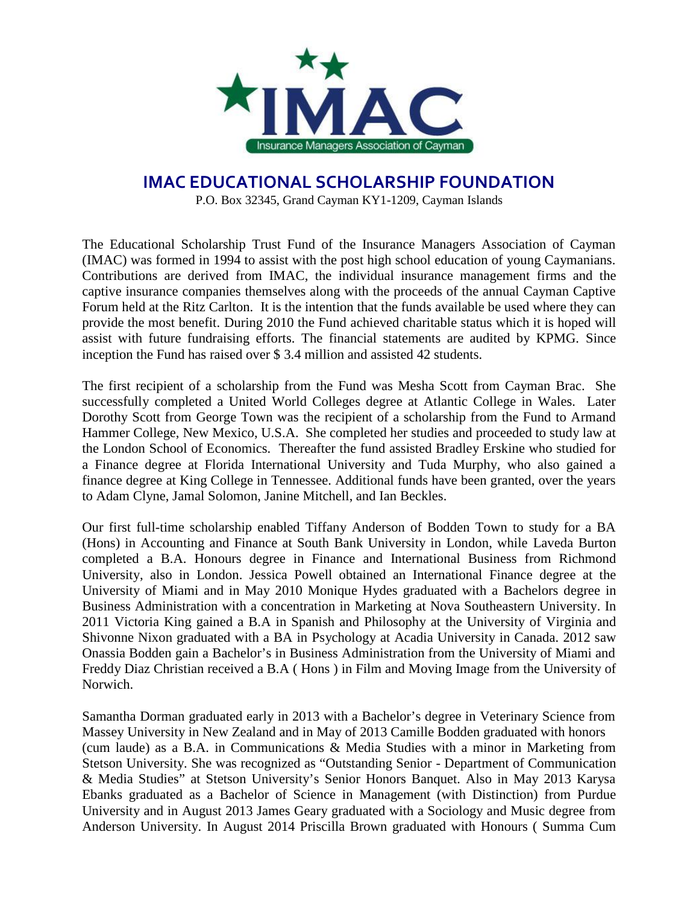

## **IMAC EDUCATIONAL SCHOLARSHIP FOUNDATION**

P.O. Box 32345, Grand Cayman KY1-1209, Cayman Islands

The Educational Scholarship Trust Fund of the Insurance Managers Association of Cayman (IMAC) was formed in 1994 to assist with the post high school education of young Caymanians. Contributions are derived from IMAC, the individual insurance management firms and the captive insurance companies themselves along with the proceeds of the annual Cayman Captive Forum held at the Ritz Carlton. It is the intention that the funds available be used where they can provide the most benefit. During 2010 the Fund achieved charitable status which it is hoped will assist with future fundraising efforts. The financial statements are audited by KPMG. Since inception the Fund has raised over \$ 3.4 million and assisted 42 students.

The first recipient of a scholarship from the Fund was Mesha Scott from Cayman Brac. She successfully completed a United World Colleges degree at Atlantic College in Wales. Later Dorothy Scott from George Town was the recipient of a scholarship from the Fund to Armand Hammer College, New Mexico, U.S.A. She completed her studies and proceeded to study law at the London School of Economics. Thereafter the fund assisted Bradley Erskine who studied for a Finance degree at Florida International University and Tuda Murphy, who also gained a finance degree at King College in Tennessee. Additional funds have been granted, over the years to Adam Clyne, Jamal Solomon, Janine Mitchell, and Ian Beckles.

Our first full-time scholarship enabled Tiffany Anderson of Bodden Town to study for a BA (Hons) in Accounting and Finance at South Bank University in London, while Laveda Burton completed a B.A. Honours degree in Finance and International Business from Richmond University, also in London. Jessica Powell obtained an International Finance degree at the University of Miami and in May 2010 Monique Hydes graduated with a Bachelors degree in Business Administration with a concentration in Marketing at Nova Southeastern University. In 2011 Victoria King gained a B.A in Spanish and Philosophy at the University of Virginia and Shivonne Nixon graduated with a BA in Psychology at Acadia University in Canada. 2012 saw Onassia Bodden gain a Bachelor's in Business Administration from the University of Miami and Freddy Diaz Christian received a B.A ( Hons ) in Film and Moving Image from the University of Norwich.

Samantha Dorman graduated early in 2013 with a Bachelor's degree in Veterinary Science from Massey University in New Zealand and in May of 2013 Camille Bodden graduated with honors (cum laude) as a B.A. in Communications & Media Studies with a minor in Marketing from Stetson University. She was recognized as "Outstanding Senior - Department of Communication & Media Studies" at Stetson University's Senior Honors Banquet. Also in May 2013 Karysa Ebanks graduated as a Bachelor of Science in Management (with Distinction) from Purdue University and in August 2013 James Geary graduated with a Sociology and Music degree from Anderson University. In August 2014 Priscilla Brown graduated with Honours ( Summa Cum